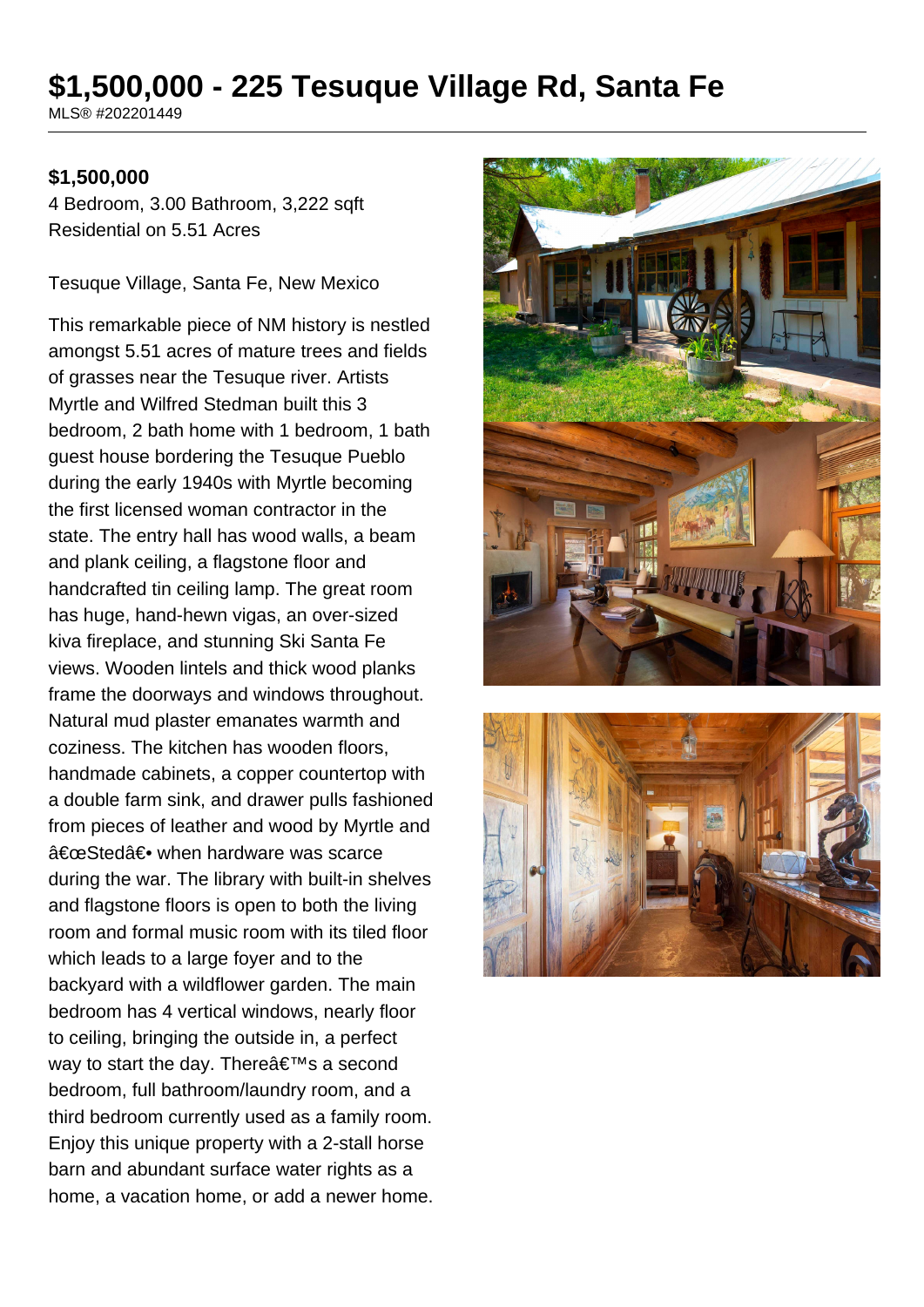# **\$1,500,000 - 225 Tesuque Village Rd, Santa Fe**

MLS® #202201449

#### **\$1,500,000**

4 Bedroom, 3.00 Bathroom, 3,222 sqft Residential on 5.51 Acres

Tesuque Village, Santa Fe, New Mexico

This remarkable piece of NM history is nestled amongst 5.51 acres of mature trees and fields of grasses near the Tesuque river. Artists Myrtle and Wilfred Stedman built this 3 bedroom, 2 bath home with 1 bedroom, 1 bath guest house bordering the Tesuque Pueblo during the early 1940s with Myrtle becoming the first licensed woman contractor in the state. The entry hall has wood walls, a beam and plank ceiling, a flagstone floor and handcrafted tin ceiling lamp. The great room has huge, hand-hewn vigas, an over-sized kiva fireplace, and stunning Ski Santa Fe views. Wooden lintels and thick wood planks frame the doorways and windows throughout. Natural mud plaster emanates warmth and coziness. The kitchen has wooden floors, handmade cabinets, a copper countertop with a double farm sink, and drawer pulls fashioned from pieces of leather and wood by Myrtle and "Sted― when hardware was scarce during the war. The library with built-in shelves and flagstone floors is open to both the living room and formal music room with its tiled floor which leads to a large foyer and to the backyard with a wildflower garden. The main bedroom has 4 vertical windows, nearly floor to ceiling, bringing the outside in, a perfect way to start the day. There  $\hat{\mathbf{a}} \in \mathbb{M}$ s a second bedroom, full bathroom/laundry room, and a third bedroom currently used as a family room. Enjoy this unique property with a 2-stall horse barn and abundant surface water rights as a home, a vacation home, or add a newer home.



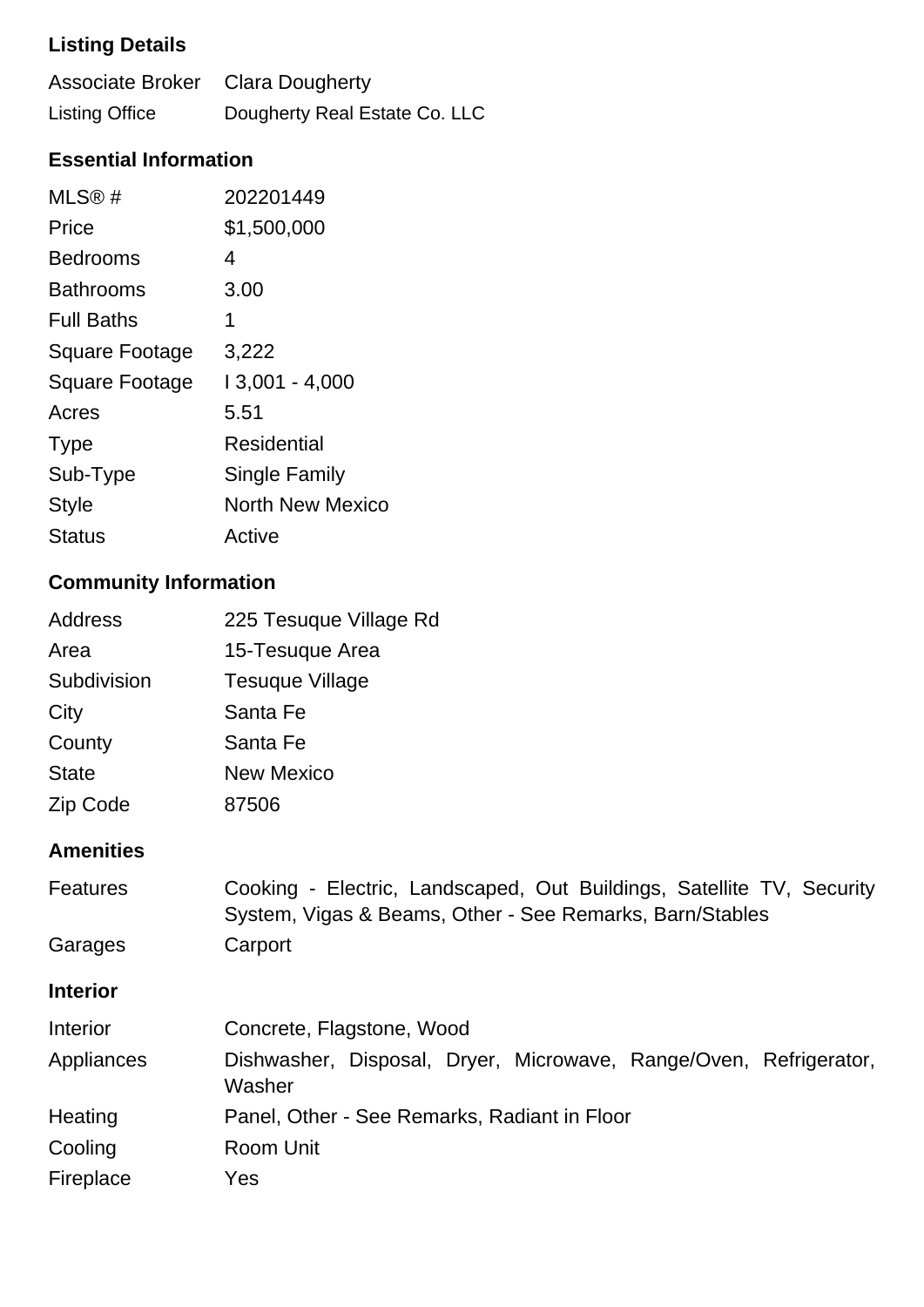# **Listing Details**

| Associate Broker Clara Dougherty |                               |
|----------------------------------|-------------------------------|
| <b>Listing Office</b>            | Dougherty Real Estate Co. LLC |

## **Essential Information**

| MLS®#                 | 202201449               |
|-----------------------|-------------------------|
| Price                 | \$1,500,000             |
| <b>Bedrooms</b>       | 4                       |
| <b>Bathrooms</b>      | 3.00                    |
| <b>Full Baths</b>     | 1                       |
| <b>Square Footage</b> | 3,222                   |
| <b>Square Footage</b> | 13,001 - 4,000          |
| Acres                 | 5.51                    |
| <b>Type</b>           | Residential             |
| Sub-Type              | Single Family           |
| Style                 | <b>North New Mexico</b> |
| Status                | Active                  |
|                       |                         |

# **Community Information**

| <b>Address</b> | 225 Tesuque Village Rd |
|----------------|------------------------|
| Area           | 15-Tesuque Area        |
| Subdivision    | <b>Tesuque Village</b> |
| City           | Santa Fe               |
| County         | Santa Fe               |
| <b>State</b>   | <b>New Mexico</b>      |
| Zip Code       | 87506                  |

## **Amenities**

| <b>Features</b> | Cooking - Electric, Landscaped, Out Buildings, Satellite TV, Security<br>System, Vigas & Beams, Other - See Remarks, Barn/Stables |
|-----------------|-----------------------------------------------------------------------------------------------------------------------------------|
| Garages         | Carport                                                                                                                           |
| <b>Interior</b> |                                                                                                                                   |
| <b>Interior</b> | Concrete, Flagstone, Wood                                                                                                         |
| Appliances      | Dishwasher, Disposal, Dryer, Microwave, Range/Oven, Refrigerator,<br>Washer                                                       |
| Heating         | Panel, Other - See Remarks, Radiant in Floor                                                                                      |
| Cooling         | Room Unit                                                                                                                         |
| Fireplace       | Yes                                                                                                                               |